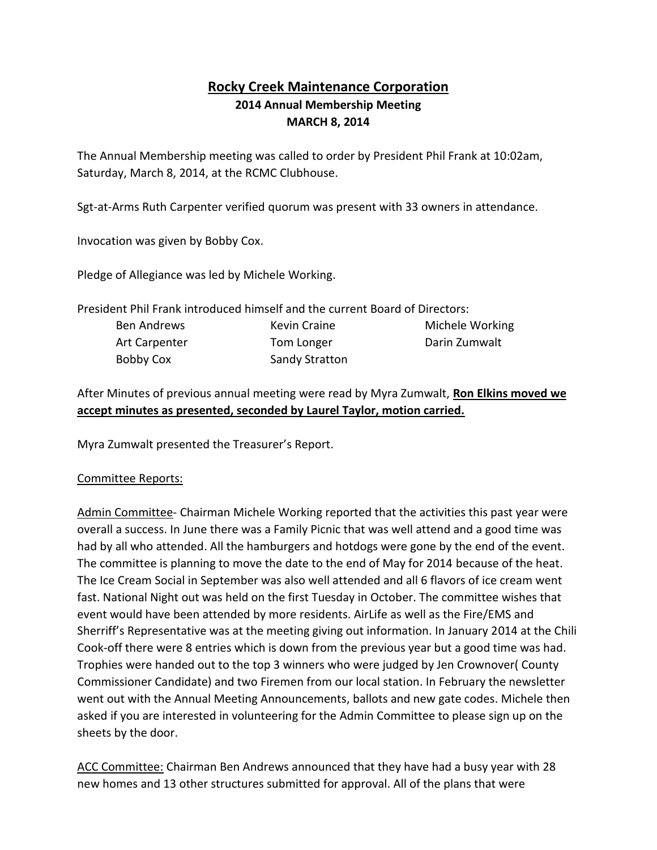## **Rocky Creek Maintenance Corporation 2014 Annual Membership Meeting MARCH 8, 2014**

The Annual Membership meeting was called to order by President Phil Frank at 10:02am, Saturday, March 8, 2014, at the RCMC Clubhouse.

Sgt-at-Arms Ruth Carpenter verified quorum was present with 33 owners in attendance.

Invocation was given by Bobby Cox.

Pledge of Allegiance was led by Michele Working.

President Phil Frank introduced himself and the current Board of Directors:

| Ben Andrews   | Kevin Craine          | Michele Working |
|---------------|-----------------------|-----------------|
| Art Carpenter | Tom Longer            | Darin Zumwalt   |
| Bobby Cox     | <b>Sandy Stratton</b> |                 |

After Minutes of previous annual meeting were read by Myra Zumwalt, **Ron Elkins moved we accept minutes as presented, seconded by Laurel Taylor, motion carried.**

Myra Zumwalt presented the Treasurer's Report.

## Committee Reports:

Admin Committee- Chairman Michele Working reported that the activities this past year were overall a success. In June there was a Family Picnic that was well attend and a good time was had by all who attended. All the hamburgers and hotdogs were gone by the end of the event. The committee is planning to move the date to the end of May for 2014 because of the heat. The Ice Cream Social in September was also well attended and all 6 flavors of ice cream went fast. National Night out was held on the first Tuesday in October. The committee wishes that event would have been attended by more residents. AirLife as well as the Fire/EMS and Sherriff's Representative was at the meeting giving out information. In January 2014 at the Chili Cook-off there were 8 entries which is down from the previous year but a good time was had. Trophies were handed out to the top 3 winners who were judged by Jen Crownover( County Commissioner Candidate) and two Firemen from our local station. In February the newsletter went out with the Annual Meeting Announcements, ballots and new gate codes. Michele then asked if you are interested in volunteering for the Admin Committee to please sign up on the sheets by the door.

ACC Committee: Chairman Ben Andrews announced that they have had a busy year with 28 new homes and 13 other structures submitted for approval. All of the plans that were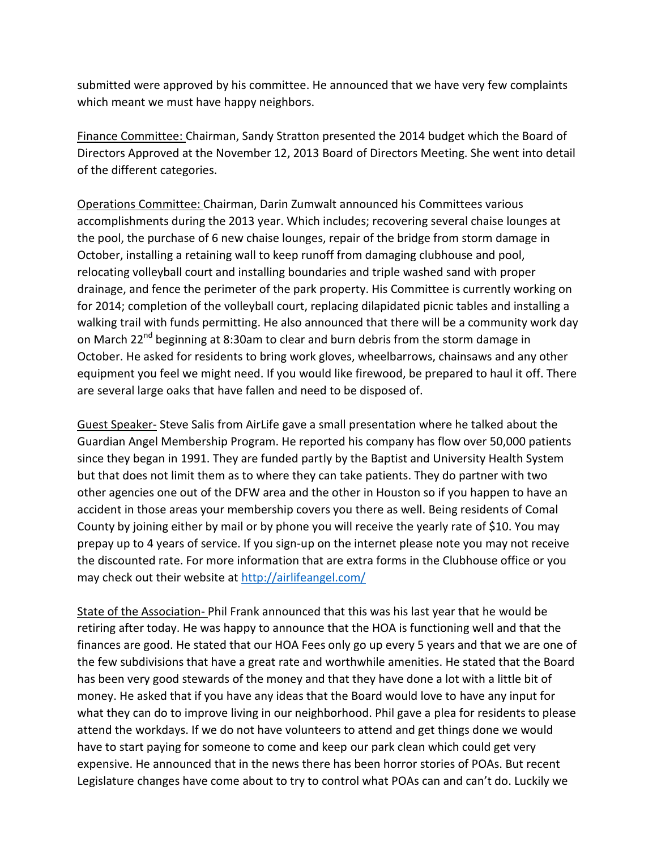submitted were approved by his committee. He announced that we have very few complaints which meant we must have happy neighbors.

Finance Committee: Chairman, Sandy Stratton presented the 2014 budget which the Board of Directors Approved at the November 12, 2013 Board of Directors Meeting. She went into detail of the different categories.

Operations Committee: Chairman, Darin Zumwalt announced his Committees various accomplishments during the 2013 year. Which includes; recovering several chaise lounges at the pool, the purchase of 6 new chaise lounges, repair of the bridge from storm damage in October, installing a retaining wall to keep runoff from damaging clubhouse and pool, relocating volleyball court and installing boundaries and triple washed sand with proper drainage, and fence the perimeter of the park property. His Committee is currently working on for 2014; completion of the volleyball court, replacing dilapidated picnic tables and installing a walking trail with funds permitting. He also announced that there will be a community work day on March 22<sup>nd</sup> beginning at 8:30am to clear and burn debris from the storm damage in October. He asked for residents to bring work gloves, wheelbarrows, chainsaws and any other equipment you feel we might need. If you would like firewood, be prepared to haul it off. There are several large oaks that have fallen and need to be disposed of.

Guest Speaker- Steve Salis from AirLife gave a small presentation where he talked about the Guardian Angel Membership Program. He reported his company has flow over 50,000 patients since they began in 1991. They are funded partly by the Baptist and University Health System but that does not limit them as to where they can take patients. They do partner with two other agencies one out of the DFW area and the other in Houston so if you happen to have an accident in those areas your membership covers you there as well. Being residents of Comal County by joining either by mail or by phone you will receive the yearly rate of \$10. You may prepay up to 4 years of service. If you sign-up on the internet please note you may not receive the discounted rate. For more information that are extra forms in the Clubhouse office or you may check out their website at<http://airlifeangel.com/>

State of the Association- Phil Frank announced that this was his last year that he would be retiring after today. He was happy to announce that the HOA is functioning well and that the finances are good. He stated that our HOA Fees only go up every 5 years and that we are one of the few subdivisions that have a great rate and worthwhile amenities. He stated that the Board has been very good stewards of the money and that they have done a lot with a little bit of money. He asked that if you have any ideas that the Board would love to have any input for what they can do to improve living in our neighborhood. Phil gave a plea for residents to please attend the workdays. If we do not have volunteers to attend and get things done we would have to start paying for someone to come and keep our park clean which could get very expensive. He announced that in the news there has been horror stories of POAs. But recent Legislature changes have come about to try to control what POAs can and can't do. Luckily we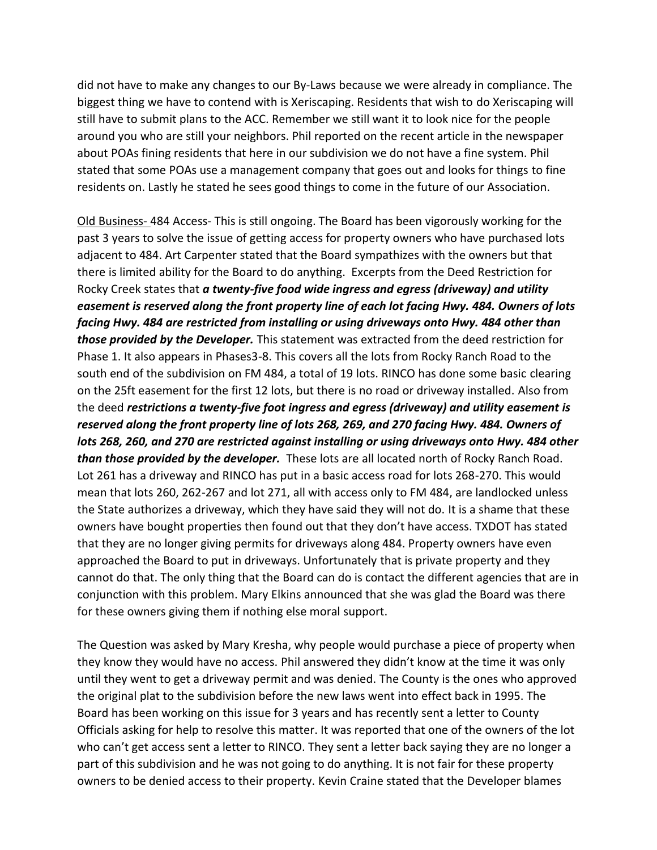did not have to make any changes to our By-Laws because we were already in compliance. The biggest thing we have to contend with is Xeriscaping. Residents that wish to do Xeriscaping will still have to submit plans to the ACC. Remember we still want it to look nice for the people around you who are still your neighbors. Phil reported on the recent article in the newspaper about POAs fining residents that here in our subdivision we do not have a fine system. Phil stated that some POAs use a management company that goes out and looks for things to fine residents on. Lastly he stated he sees good things to come in the future of our Association.

Old Business- 484 Access- This is still ongoing. The Board has been vigorously working for the past 3 years to solve the issue of getting access for property owners who have purchased lots adjacent to 484. Art Carpenter stated that the Board sympathizes with the owners but that there is limited ability for the Board to do anything. Excerpts from the Deed Restriction for Rocky Creek states that *a twenty-five food wide ingress and egress (driveway) and utility easement is reserved along the front property line of each lot facing Hwy. 484. Owners of lots facing Hwy. 484 are restricted from installing or using driveways onto Hwy. 484 other than those provided by the Developer.* This statement was extracted from the deed restriction for Phase 1. It also appears in Phases3-8. This covers all the lots from Rocky Ranch Road to the south end of the subdivision on FM 484, a total of 19 lots. RINCO has done some basic clearing on the 25ft easement for the first 12 lots, but there is no road or driveway installed. Also from the deed *restrictions a twenty-five foot ingress and egress (driveway) and utility easement is reserved along the front property line of lots 268, 269, and 270 facing Hwy. 484. Owners of lots 268, 260, and 270 are restricted against installing or using driveways onto Hwy. 484 other than those provided by the developer.* These lots are all located north of Rocky Ranch Road. Lot 261 has a driveway and RINCO has put in a basic access road for lots 268-270. This would mean that lots 260, 262-267 and lot 271, all with access only to FM 484, are landlocked unless the State authorizes a driveway, which they have said they will not do. It is a shame that these owners have bought properties then found out that they don't have access. TXDOT has stated that they are no longer giving permits for driveways along 484. Property owners have even approached the Board to put in driveways. Unfortunately that is private property and they cannot do that. The only thing that the Board can do is contact the different agencies that are in conjunction with this problem. Mary Elkins announced that she was glad the Board was there for these owners giving them if nothing else moral support.

The Question was asked by Mary Kresha, why people would purchase a piece of property when they know they would have no access. Phil answered they didn't know at the time it was only until they went to get a driveway permit and was denied. The County is the ones who approved the original plat to the subdivision before the new laws went into effect back in 1995. The Board has been working on this issue for 3 years and has recently sent a letter to County Officials asking for help to resolve this matter. It was reported that one of the owners of the lot who can't get access sent a letter to RINCO. They sent a letter back saying they are no longer a part of this subdivision and he was not going to do anything. It is not fair for these property owners to be denied access to their property. Kevin Craine stated that the Developer blames